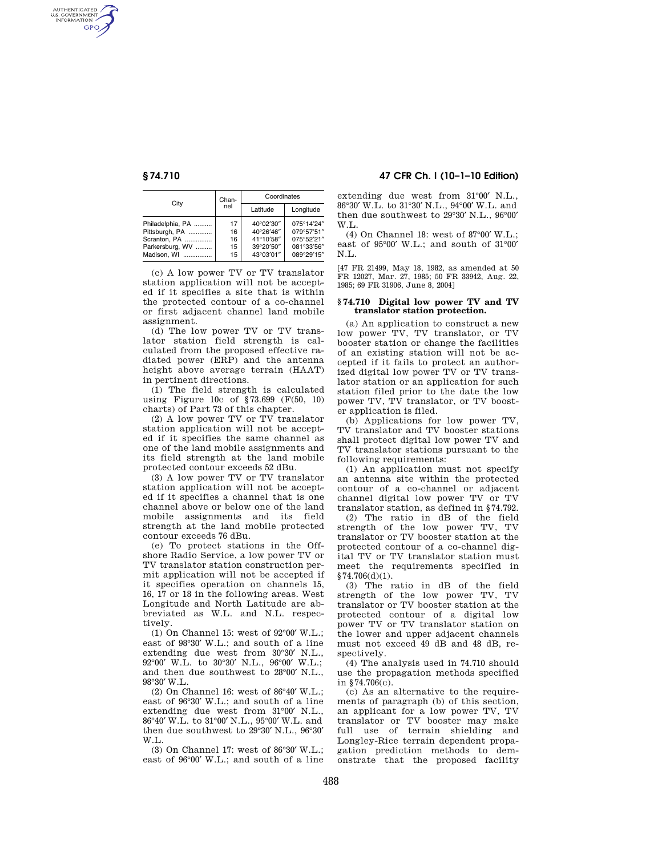AUTHENTICATED<br>U.S. GOVERNMENT<br>INFORMATION **GPO** 

| City             | Chan-<br>nel | Coordinates |            |
|------------------|--------------|-------------|------------|
|                  |              | Latitude    | Longitude  |
| Philadelphia, PA | 17           | 40°02'30"   | 075°14'24" |
| Pittsburgh, PA   | 16           | 40°26'46"   | 079°57'51" |
| Scranton, PA     | 16           | 41°10'58"   | 075°52'21" |
| Parkersburg, WV  | 15           | 39°20'50"   | 081°33'56" |
| Madison, WI      | 15           | 43°03'01"   | 089°29'15" |

(c) A low power TV or TV translator station application will not be accepted if it specifies a site that is within the protected contour of a co-channel or first adjacent channel land mobile assignment.

(d) The low power TV or TV translator station field strength is calculated from the proposed effective radiated power (ERP) and the antenna height above average terrain (HAAT) in pertinent directions.

(1) The field strength is calculated using Figure 10c of §73.699 (F(50, 10) charts) of Part 73 of this chapter.

(2) A low power TV or TV translator station application will not be accepted if it specifies the same channel as one of the land mobile assignments and its field strength at the land mobile protected contour exceeds 52 dBu.

(3) A low power TV or TV translator station application will not be accepted if it specifies a channel that is one channel above or below one of the land mobile assignments and its field strength at the land mobile protected contour exceeds 76 dBu.

(e) To protect stations in the Offshore Radio Service, a low power TV or TV translator station construction permit application will not be accepted if it specifies operation on channels 15, 16, 17 or 18 in the following areas. West Longitude and North Latitude are abbreviated as W.L. and N.L. respectively.

(1) On Channel 15: west of 92°00′ W.L.; east of 98°30′ W.L.; and south of a line extending due west from 30°30′ N.L., 92°00′ W.L. to 30°30′ N.L., 96°00′ W.L.; and then due southwest to 28°00′ N.L., 98°30′ W.L.

(2) On Channel 16: west of 86°40′ W.L.; east of 96°30′ W.L.; and south of a line extending due west from 31°00′ N.L., 86°40′ W.L. to 31°00′ N.L., 95°00′ W.L. and then due southwest to 29°30′ N.L., 96°30′ W.L.

(3) On Channel 17: west of 86°30′ W.L.; east of 96°00′ W.L.; and south of a line

# **§ 74.710 47 CFR Ch. I (10–1–10 Edition)**

extending due west from 31°00′ N.L., 86°30′ W.L. to 31°30′ N.L., 94°00′ W.L. and then due southwest to 29°30′ N.L., 96°00′ W.L.

(4) On Channel 18: west of 87°00′ W.L.; east of 95°00′ W.L.; and south of 31°00′ N.L.

[47 FR 21499, May 18, 1982, as amended at 50 FR 12027, Mar. 27, 1985; 50 FR 33942, Aug. 22, 1985; 69 FR 31906, June 8, 2004]

### **§ 74.710 Digital low power TV and TV translator station protection.**

(a) An application to construct a new low power TV, TV translator, or TV booster station or change the facilities of an existing station will not be accepted if it fails to protect an authorized digital low power TV or TV translator station or an application for such station filed prior to the date the low power TV, TV translator, or TV booster application is filed.

(b) Applications for low power TV, TV translator and TV booster stations shall protect digital low power TV and TV translator stations pursuant to the following requirements:

(1) An application must not specify an antenna site within the protected contour of a co-channel or adjacent channel digital low power TV or TV translator station, as defined in §74.792.

(2) The ratio in dB of the field strength of the low power TV, TV translator or TV booster station at the protected contour of a co-channel digital TV or TV translator station must meet the requirements specified in  $§74.706(d)(1).$ 

(3) The ratio in dB of the field strength of the low power TV, TV translator or TV booster station at the protected contour of a digital low power TV or TV translator station on the lower and upper adjacent channels must not exceed 49 dB and 48 dB, respectively.

(4) The analysis used in 74.710 should use the propagation methods specified in §74.706(c).

(c) As an alternative to the requirements of paragraph (b) of this section, an applicant for a low power TV, TV translator or TV booster may make full use of terrain shielding and Longley-Rice terrain dependent propagation prediction methods to demonstrate that the proposed facility